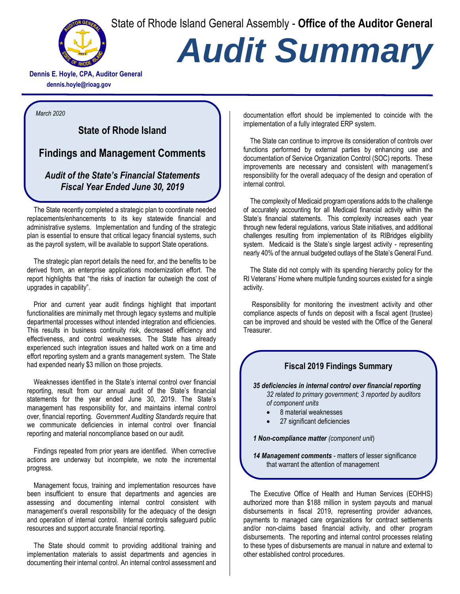State of Rhode Island General Assembly - **Office of the Auditor General**



## *Audit Summary*

**Dennis E. Hoyle, CPA, Auditor General dennis.hoyle@rioag.gov**

*March 2020*

## **State of Rhode Island**

**Findings and Management Comments** 

## *Audit of the State's Financial Statements Fiscal Year Ended June 30, 2019*

The State recently completed a strategic plan to coordinate needed replacements/enhancements to its key statewide financial and administrative systems. Implementation and funding of the strategic plan is essential to ensure that critical legacy financial systems, such as the payroll system, will be available to support State operations.

The strategic plan report details the need for, and the benefits to be derived from, an enterprise applications modernization effort. The report highlights that "the risks of inaction far outweigh the cost of upgrades in capability".

Prior and current year audit findings highlight that important functionalities are minimally met through legacy systems and multiple departmental processes without intended integration and efficiencies. This results in business continuity risk, decreased efficiency and effectiveness, and control weaknesses. The State has already experienced such integration issues and halted work on a time and effort reporting system and a grants management system. The State had expended nearly \$3 million on those projects.

Weaknesses identified in the State's internal control over financial reporting, result from our annual audit of the State's financial statements for the year ended June 30, 2019. The State's management has responsibility for, and maintains internal control over, financial reporting. *Government Auditing Standards* require that we communicate deficiencies in internal control over financial reporting and material noncompliance based on our audit.

Findings repeated from prior years are identified. When corrective actions are underway but incomplete, we note the incremental progress.

Management focus, training and implementation resources have been insufficient to ensure that departments and agencies are assessing and documenting internal control consistent with management's overall responsibility for the adequacy of the design and operation of internal control. Internal controls safeguard public resources and support accurate financial reporting.

The State should commit to providing additional training and implementation materials to assist departments and agencies in documenting their internal control. An internal control assessment and documentation effort should be implemented to coincide with the implementation of a fully integrated ERP system.

The State can continue to improve its consideration of controls over functions performed by external parties by enhancing use and documentation of Service Organization Control (SOC) reports. These improvements are necessary and consistent with management's responsibility for the overall adequacy of the design and operation of internal control.

The complexity of Medicaid program operations adds to the challenge of accurately accounting for all Medicaid financial activity within the State's financial statements. This complexity increases each year through new federal regulations, various State initiatives, and additional challenges resulting from implementation of its RIBridges eligibility system. Medicaid is the State's single largest activity - representing nearly 40% of the annual budgeted outlays of the State's General Fund.

The State did not comply with its spending hierarchy policy for the RI Veterans' Home where multiple funding sources existed for a single activity.

Responsibility for monitoring the investment activity and other compliance aspects of funds on deposit with a fiscal agent (trustee) can be improved and should be vested with the Office of the General Treasurer.

## **Fiscal 2019 Findings Summary**

*35 deficiencies in internal control over financial reporting 32 related to primary government; 3 reported by auditors of component units* 

- 8 material weaknesses
- 27 significant deficiencies

*1 Non-compliance matter (component unit*)

*14 Management comments* - matters of lesser significance that warrant the attention of management

The Executive Office of Health and Human Services (EOHHS) authorized more than \$188 million in system payouts and manual disbursements in fiscal 2019, representing provider advances, payments to managed care organizations for contract settlements and/or non-claims based financial activity, and other program disbursements. The reporting and internal control processes relating to these types of disbursements are manual in nature and external to other established control procedures.